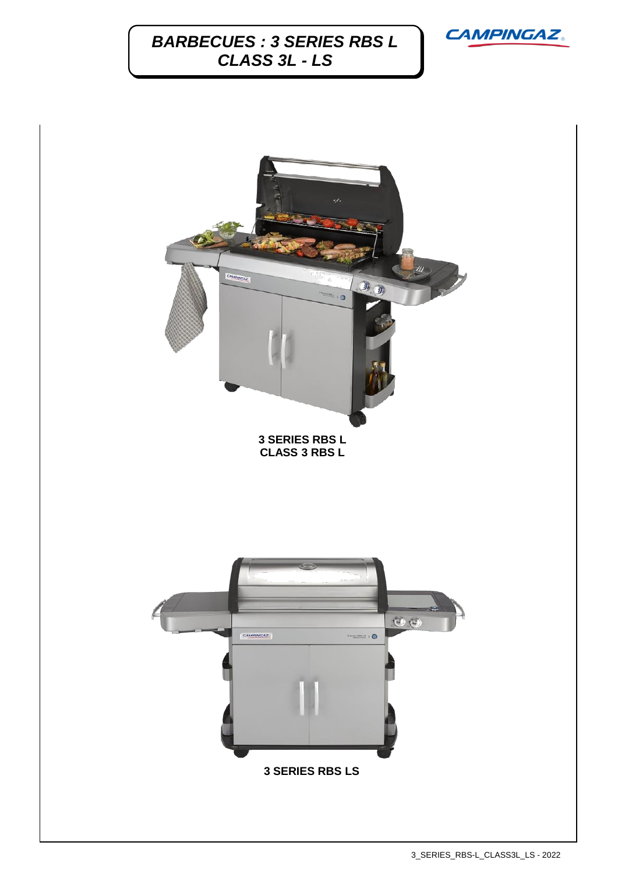

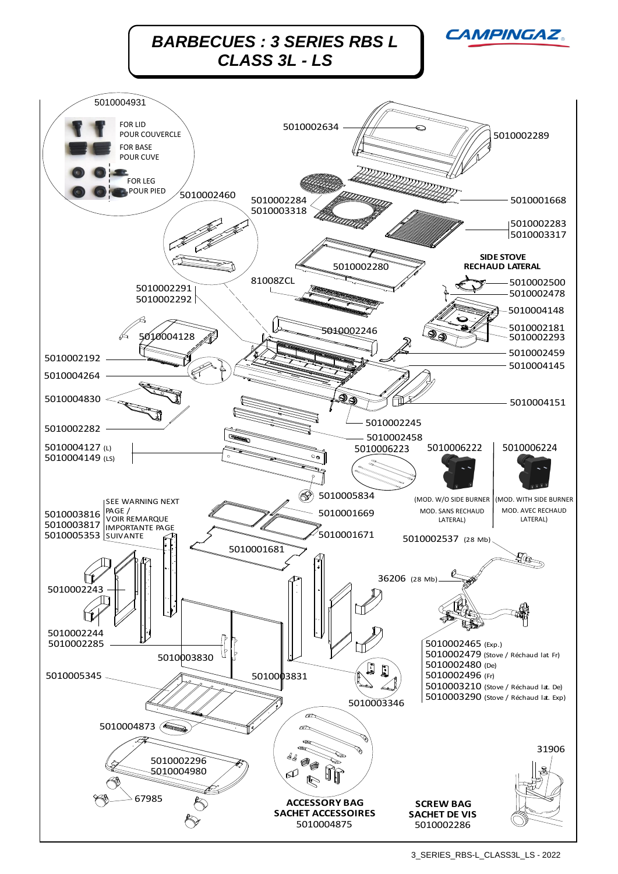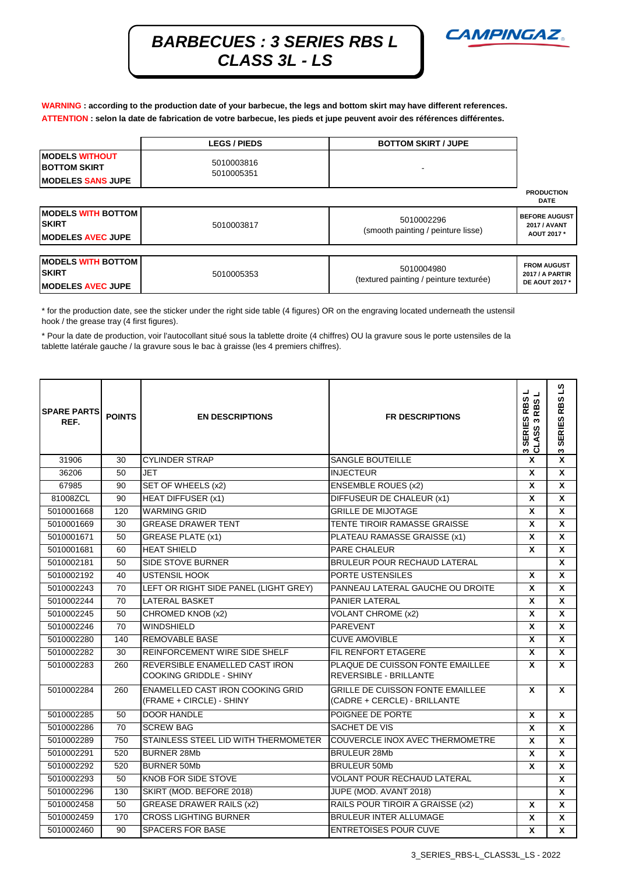

**WARNING : according to the production date of your barbecue, the legs and bottom skirt may have different references. ATTENTION : selon la date de fabrication de votre barbecue, les pieds et jupe peuvent avoir des références différentes.**

|                                              | <b>LEGS / PIEDS</b>      | <b>BOTTOM SKIRT / JUPE</b>                            |                                                                       |  |
|----------------------------------------------|--------------------------|-------------------------------------------------------|-----------------------------------------------------------------------|--|
| <b>MODELS WITHOUT</b><br><b>BOTTOM SKIRT</b> | 5010003816<br>5010005351 |                                                       |                                                                       |  |
| <b>IMODELES SANS JUPE</b>                    |                          |                                                       |                                                                       |  |
|                                              |                          |                                                       | <b>PRODUCTION</b><br><b>DATE</b>                                      |  |
| <b>MODELS WITH BOTTOM</b><br><b>ISKIRT</b>   | 5010003817               | 5010002296                                            | <b>BEFORE AUGUST</b><br><b>2017 / AVANT</b>                           |  |
| <b>IMODELES AVEC JUPE</b>                    |                          | (smooth painting / peinture lisse)                    | AOUT 2017 *                                                           |  |
|                                              |                          |                                                       |                                                                       |  |
| <b>MODELS WITH BOTTOM</b><br><b>ISKIRT</b>   | 5010005353               | 5010004980<br>(textured painting / peinture texturée) | <b>FROM AUGUST</b><br><b>2017 / A PARTIR</b><br><b>DE AOUT 2017 *</b> |  |
| <b>IMODELES AVEC JUPE</b>                    |                          |                                                       |                                                                       |  |

\* for the production date, see the sticker under the right side table (4 figures) OR on the engraving located underneath the ustensil hook / the grease tray (4 first figures).

\* Pour la date de production, voir l'autocollant situé sous la tablette droite (4 chiffres) OU la gravure sous le porte ustensiles de la tablette latérale gauche / la gravure sous le bac à graisse (les 4 premiers chiffres).

| <b>SPARE PARTS</b><br>REF. | <b>POINTS</b> | <b>EN DESCRIPTIONS</b>                                              | <b>FR DESCRIPTIONS</b>                                                  | ┙<br>3 SERIES RBS<br><b>RBS</b><br>CLASS <sub>3</sub> | $\overline{\mathbf{S}}$<br>3 SERIES RBS |
|----------------------------|---------------|---------------------------------------------------------------------|-------------------------------------------------------------------------|-------------------------------------------------------|-----------------------------------------|
| 31906                      | 30            | <b>CYLINDER STRAP</b>                                               | <b>SANGLE BOUTEILLE</b>                                                 | $\mathbf{x}$                                          | X                                       |
| 36206                      | 50            | <b>JET</b>                                                          | <b>INJECTEUR</b>                                                        | X                                                     | X                                       |
| 67985                      | 90            | SET OF WHEELS (x2)                                                  | <b>ENSEMBLE ROUES (x2)</b>                                              | $\mathbf x$                                           | X                                       |
| 81008ZCL                   | 90            | <b>HEAT DIFFUSER (x1)</b>                                           | DIFFUSEUR DE CHALEUR (x1)                                               | X                                                     | X                                       |
| 5010001668                 | 120           | <b>WARMING GRID</b>                                                 | <b>GRILLE DE MIJOTAGE</b>                                               | $\mathbf x$                                           | X                                       |
| 5010001669                 | 30            | <b>GREASE DRAWER TENT</b>                                           | TENTE TIROIR RAMASSE GRAISSE                                            | X                                                     | X                                       |
| 5010001671                 | 50            | <b>GREASE PLATE (x1)</b>                                            | PLATEAU RAMASSE GRAISSE (x1)                                            | $\mathbf x$                                           | X                                       |
| 5010001681                 | 60            | <b>HEAT SHIELD</b>                                                  | PARE CHALEUR                                                            | X                                                     | X                                       |
| 5010002181                 | 50            | <b>SIDE STOVE BURNER</b>                                            | <b>BRULEUR POUR RECHAUD LATERAL</b>                                     |                                                       | X                                       |
| 5010002192                 | 40            | <b>USTENSIL HOOK</b>                                                | PORTE USTENSILES                                                        | $\boldsymbol{x}$                                      | X                                       |
| 5010002243                 | 70            | LEFT OR RIGHT SIDE PANEL (LIGHT GREY)                               | PANNEAU LATERAL GAUCHE OU DROITE                                        | X                                                     | X                                       |
| 5010002244                 | 70            | <b>LATERAL BASKET</b>                                               | <b>PANIER LATERAL</b>                                                   | $\boldsymbol{x}$                                      | X                                       |
| 5010002245                 | 50            | CHROMED KNOB (x2)                                                   | <b>VOLANT CHROME (x2)</b>                                               | $\pmb{\chi}$                                          | X                                       |
| 5010002246                 | 70            | <b>WINDSHIELD</b>                                                   | <b>PAREVENT</b>                                                         | $\boldsymbol{x}$                                      | X                                       |
| 5010002280                 | 140           | <b>REMOVABLE BASE</b>                                               | <b>CUVE AMOVIBLE</b>                                                    | X                                                     | X                                       |
| 5010002282                 | 30            | REINFORCEMENT WIRE SIDE SHELF                                       | FIL RENFORT ETAGERE                                                     | $\boldsymbol{x}$                                      | X                                       |
| 5010002283                 | 260           | REVERSIBLE ENAMELLED CAST IRON<br><b>COOKING GRIDDLE - SHINY</b>    | PLAQUE DE CUISSON FONTE EMAILLEE<br><b>REVERSIBLE - BRILLANTE</b>       | X                                                     | X                                       |
| 5010002284                 | 260           | <b>ENAMELLED CAST IRON COOKING GRID</b><br>(FRAME + CIRCLE) - SHINY | <b>GRILLE DE CUISSON FONTE EMAILLEE</b><br>(CADRE + CERCLE) - BRILLANTE | X                                                     | X                                       |
| 5010002285                 | 50            | <b>DOOR HANDLE</b>                                                  | POIGNEE DE PORTE                                                        | $\mathbf{x}$                                          | $\mathbf{x}$                            |
| 5010002286                 | 70            | <b>SCREW BAG</b>                                                    | SACHET DE VIS                                                           | $\boldsymbol{x}$                                      | X                                       |
| 5010002289                 | 750           | STAINLESS STEEL LID WITH THERMOMETER                                | <b>COUVERCLE INOX AVEC THERMOMETRE</b>                                  | $\mathbf{x}$                                          | X                                       |
| 5010002291                 | 520           | <b>BURNER 28Mb</b>                                                  | <b>BRULEUR 28Mb</b>                                                     | $\boldsymbol{x}$                                      | X                                       |
| 5010002292                 | 520           | <b>BURNER 50Mb</b>                                                  | <b>BRULEUR 50Mb</b>                                                     | X                                                     | <b>X</b>                                |
| 5010002293                 | 50            | <b>KNOB FOR SIDE STOVE</b>                                          | <b>VOLANT POUR RECHAUD LATERAL</b>                                      |                                                       | X                                       |
| 5010002296                 | 130           | SKIRT (MOD. BEFORE 2018)                                            | JUPE (MOD. AVANT 2018)                                                  |                                                       | X                                       |
| 5010002458                 | 50            | <b>GREASE DRAWER RAILS (x2)</b>                                     | RAILS POUR TIROIR A GRAISSE (x2)                                        | X                                                     | X                                       |
| 5010002459                 | 170           | <b>CROSS LIGHTING BURNER</b>                                        | <b>BRULEUR INTER ALLUMAGE</b>                                           | $\boldsymbol{x}$                                      | X                                       |
| 5010002460                 | 90            | <b>SPACERS FOR BASE</b>                                             | ENTRETOISES POUR CUVE                                                   | $\boldsymbol{x}$                                      | X                                       |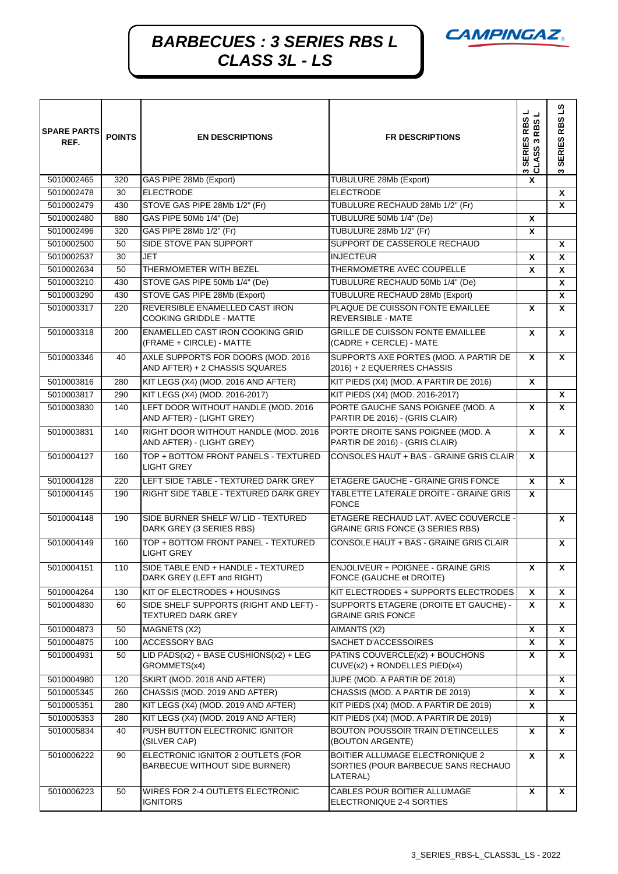

| <b>SPARE PARTS</b><br>REF. | <b>POINTS</b> | <b>EN DESCRIPTIONS</b>                                               | <b>FR DESCRIPTIONS</b>                                                             | ᆜ<br>┙<br>ທ<br><b>RBS</b><br>RB<br><b>SERIES</b><br>3 SERIES<br>CLASS 3 F | RBSLS<br><b>SERIES</b><br>ω |
|----------------------------|---------------|----------------------------------------------------------------------|------------------------------------------------------------------------------------|---------------------------------------------------------------------------|-----------------------------|
| 5010002465                 | 320           | GAS PIPE 28Mb (Export)                                               | <b>TUBULURE 28Mb (Export)</b>                                                      | X                                                                         |                             |
| 5010002478                 | 30            | <b>ELECTRODE</b>                                                     | <b>ELECTRODE</b>                                                                   |                                                                           | X                           |
| 5010002479                 | 430           | STOVE GAS PIPE 28Mb 1/2" (Fr)                                        | TUBULURE RECHAUD 28Mb 1/2" (Fr)                                                    |                                                                           | X                           |
| 5010002480                 | 880           | GAS PIPE 50Mb 1/4" (De)                                              | TUBULURE 50Mb 1/4" (De)                                                            | X                                                                         |                             |
| 5010002496                 | 320           | GAS PIPE 28Mb 1/2" (Fr)                                              | TUBULURE 28Mb 1/2" (Fr)                                                            | X                                                                         |                             |
| 5010002500                 | 50            | SIDE STOVE PAN SUPPORT                                               | SUPPORT DE CASSEROLE RECHAUD                                                       |                                                                           | X                           |
| 5010002537                 | 30            | <b>JET</b>                                                           | <b>INJECTEUR</b>                                                                   | X                                                                         | X                           |
| 5010002634                 | 50            | THERMOMETER WITH BEZEL                                               | THERMOMETRE AVEC COUPELLE                                                          | X                                                                         | X                           |
| 5010003210                 | 430           | STOVE GAS PIPE 50Mb 1/4" (De)                                        | TUBULURE RECHAUD 50Mb 1/4" (De)                                                    |                                                                           | X                           |
| 5010003290                 | 430           | STOVE GAS PIPE 28Mb (Export)                                         | TUBULURE RECHAUD 28Mb (Export)                                                     |                                                                           | X                           |
| 5010003317                 | 220           | REVERSIBLE ENAMELLED CAST IRON<br>COOKING GRIDDLE - MATTE            | PLAQUE DE CUISSON FONTE EMAILLEE<br><b>REVERSIBLE - MATE</b>                       | X                                                                         | X                           |
| 5010003318                 | 200           | <b>ENAMELLED CAST IRON COOKING GRID</b><br>(FRAME + CIRCLE) - MATTE  | <b>GRILLE DE CUISSON FONTE EMAILLEE</b><br>(CADRE + CERCLE) - MATE                 | X                                                                         | X                           |
| 5010003346                 | 40            | AXLE SUPPORTS FOR DOORS (MOD. 2016<br>AND AFTER) + 2 CHASSIS SQUARES | SUPPORTS AXE PORTES (MOD. A PARTIR DE<br>2016) + 2 EQUERRES CHASSIS                | $\mathbf{x}$                                                              | X                           |
| 5010003816                 | 280           | KIT LEGS (X4) (MOD. 2016 AND AFTER)                                  | KIT PIEDS (X4) (MOD. A PARTIR DE 2016)                                             | X                                                                         |                             |
| 5010003817                 | 290           | KIT LEGS (X4) (MOD. 2016-2017)                                       | KIT PIEDS (X4) (MOD. 2016-2017)                                                    |                                                                           | X                           |
| 5010003830                 | 140           | LEFT DOOR WITHOUT HANDLE (MOD. 2016<br>AND AFTER) - (LIGHT GREY)     | PORTE GAUCHE SANS POIGNEE (MOD. A<br>PARTIR DE 2016) - (GRIS CLAIR)                | X                                                                         | X                           |
| 5010003831                 | 140           | RIGHT DOOR WITHOUT HANDLE (MOD. 2016<br>AND AFTER) - (LIGHT GREY)    | PORTE DROITE SANS POIGNEE (MOD. A<br>PARTIR DE 2016) - (GRIS CLAIR)                | $\mathbf{x}$                                                              | X                           |
| 5010004127                 | 160           | TOP + BOTTOM FRONT PANELS - TEXTURED<br><b>LIGHT GREY</b>            | CONSOLES HAUT + BAS - GRAINE GRIS CLAIR                                            | X                                                                         |                             |
| 5010004128                 | 220           | LEFT SIDE TABLE - TEXTURED DARK GREY                                 | ETAGERE GAUCHE - GRAINE GRIS FONCE                                                 | X                                                                         | X                           |
| 5010004145                 | 190           | RIGHT SIDE TABLE - TEXTURED DARK GREY                                | TABLETTE LATERALE DROITE - GRAINE GRIS<br><b>FONCE</b>                             | X                                                                         |                             |
| 5010004148                 | 190           | SIDE BURNER SHELF W/LID - TEXTURED<br>DARK GREY (3 SERIES RBS)       | ETAGERE RECHAUD LAT. AVEC COUVERCLE -<br><b>GRAINE GRIS FONCE (3 SERIES RBS)</b>   |                                                                           | X                           |
| 5010004149                 | 160           | TOP + BOTTOM FRONT PANEL - TEXTURED<br>LIGHT GREY                    | CONSOLE HAUT + BAS - GRAINE GRIS CLAIR                                             |                                                                           | X                           |
| 5010004151                 | 110           | SIDE TABLE END + HANDLE - TEXTURED<br>DARK GREY (LEFT and RIGHT)     | ENJOLIVEUR + POIGNEE - GRAINE GRIS<br>FONCE (GAUCHE et DROITE)                     | x                                                                         | x                           |
| 5010004264                 | 130           | KIT OF ELECTRODES + HOUSINGS                                         | KIT ELECTRODES + SUPPORTS ELECTRODES                                               | X                                                                         | X                           |
| 5010004830                 | 60            | SIDE SHELF SUPPORTS (RIGHT AND LEFT) -<br><b>TEXTURED DARK GREY</b>  | SUPPORTS ETAGERE (DROITE ET GAUCHE) -<br><b>GRAINE GRIS FONCE</b>                  | X                                                                         | <b>X</b>                    |
| 5010004873                 | 50            | MAGNETS (X2)                                                         | AIMANTS (X2)                                                                       | X                                                                         | X                           |
| 5010004875                 | 100           | <b>ACCESSORY BAG</b>                                                 | SACHET D'ACCESSOIRES                                                               | X                                                                         | Χ                           |
| 5010004931                 | 50            | LID PADS $(x2)$ + BASE CUSHIONS $(x2)$ + LEG<br>GROMMETS(x4)         | PATINS COUVERCLE(x2) + BOUCHONS<br>CUVE(x2) + RONDELLES PIED(x4)                   | Χ                                                                         | X                           |
| 5010004980                 | 120           | SKIRT (MOD. 2018 AND AFTER)                                          | JUPE (MOD. A PARTIR DE 2018)                                                       |                                                                           | X                           |
| 5010005345                 | 260           | CHASSIS (MOD. 2019 AND AFTER)                                        | CHASSIS (MOD. A PARTIR DE 2019)                                                    | X                                                                         | X                           |
| 5010005351                 | 280           | KIT LEGS (X4) (MOD. 2019 AND AFTER)                                  | KIT PIEDS (X4) (MOD. A PARTIR DE 2019)                                             | X                                                                         |                             |
| 5010005353                 | 280           | KIT LEGS (X4) (MOD. 2019 AND AFTER)                                  | KIT PIEDS (X4) (MOD. A PARTIR DE 2019)                                             |                                                                           | <b>X</b>                    |
| 5010005834                 | 40            | PUSH BUTTON ELECTRONIC IGNITOR<br>(SILVER CAP)                       | BOUTON POUSSOIR TRAIN D'ETINCELLES<br>(BOUTON ARGENTE)                             | X                                                                         | x                           |
| 5010006222                 | 90            | ELECTRONIC IGNITOR 2 OUTLETS (FOR<br>BARBECUE WITHOUT SIDE BURNER)   | BOITIER ALLUMAGE ELECTRONIQUE 2<br>SORTIES (POUR BARBECUE SANS RECHAUD<br>LATERAL) | X                                                                         | <b>X</b>                    |
| 5010006223                 | 50            | WIRES FOR 2-4 OUTLETS ELECTRONIC<br><b>IGNITORS</b>                  | CABLES POUR BOITIER ALLUMAGE<br>ELECTRONIQUE 2-4 SORTIES                           | X                                                                         | X                           |